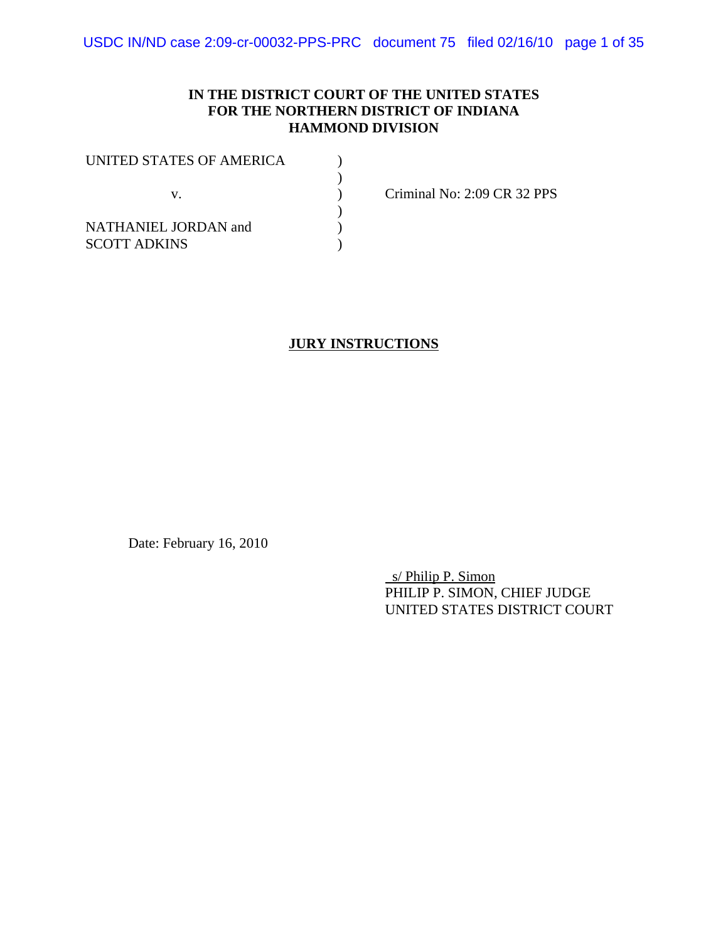### **IN THE DISTRICT COURT OF THE UNITED STATES FOR THE NORTHERN DISTRICT OF INDIANA HAMMOND DIVISION**

| UNITED STATES OF AMERICA |  |
|--------------------------|--|
|                          |  |
| V.                       |  |
|                          |  |
| NATHANIEL JORDAN and     |  |
| <b>SCOTT ADKINS</b>      |  |

Criminal No: 2:09 CR 32 PPS

#### **JURY INSTRUCTIONS**

Date: February 16, 2010

 s/ Philip P. Simon PHILIP P. SIMON, CHIEF JUDGE UNITED STATES DISTRICT COURT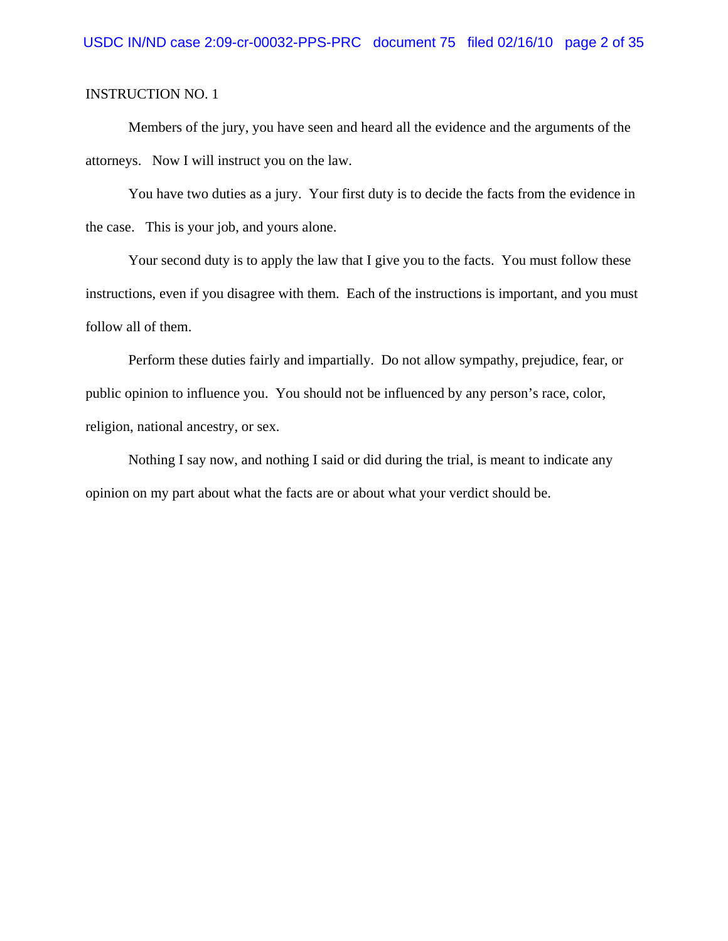Members of the jury, you have seen and heard all the evidence and the arguments of the attorneys. Now I will instruct you on the law.

You have two duties as a jury. Your first duty is to decide the facts from the evidence in the case. This is your job, and yours alone.

Your second duty is to apply the law that I give you to the facts. You must follow these instructions, even if you disagree with them. Each of the instructions is important, and you must follow all of them.

Perform these duties fairly and impartially. Do not allow sympathy, prejudice, fear, or public opinion to influence you. You should not be influenced by any person's race, color, religion, national ancestry, or sex.

Nothing I say now, and nothing I said or did during the trial, is meant to indicate any opinion on my part about what the facts are or about what your verdict should be.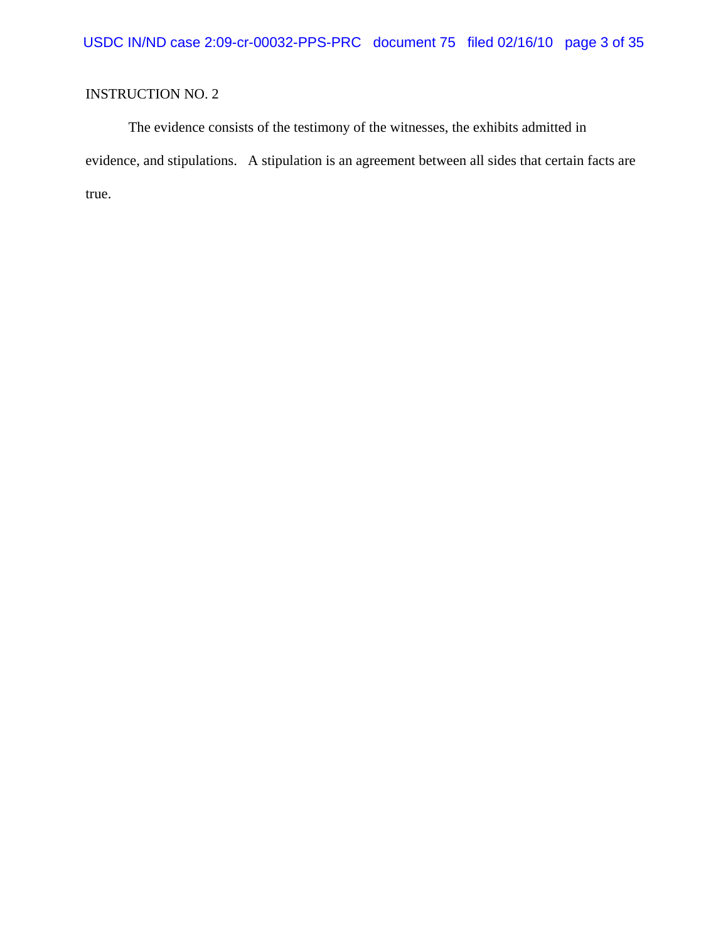The evidence consists of the testimony of the witnesses, the exhibits admitted in evidence, and stipulations. A stipulation is an agreement between all sides that certain facts are true.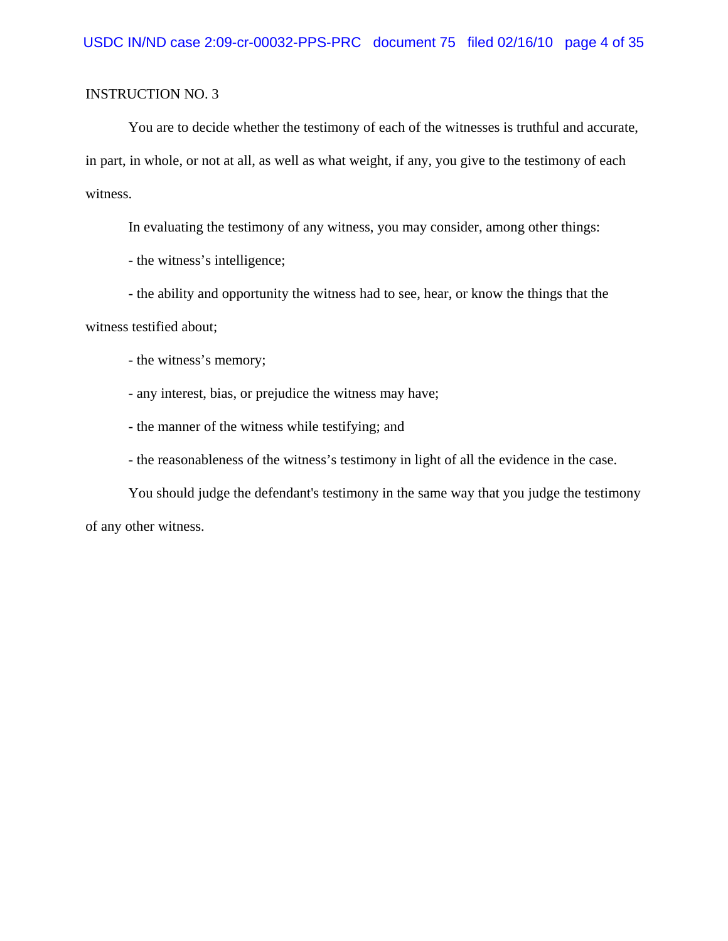You are to decide whether the testimony of each of the witnesses is truthful and accurate, in part, in whole, or not at all, as well as what weight, if any, you give to the testimony of each witness.

In evaluating the testimony of any witness, you may consider, among other things:

- the witness's intelligence;

- the ability and opportunity the witness had to see, hear, or know the things that the

witness testified about;

- the witness's memory;

- any interest, bias, or prejudice the witness may have;

- the manner of the witness while testifying; and

- the reasonableness of the witness's testimony in light of all the evidence in the case.

You should judge the defendant's testimony in the same way that you judge the testimony of any other witness.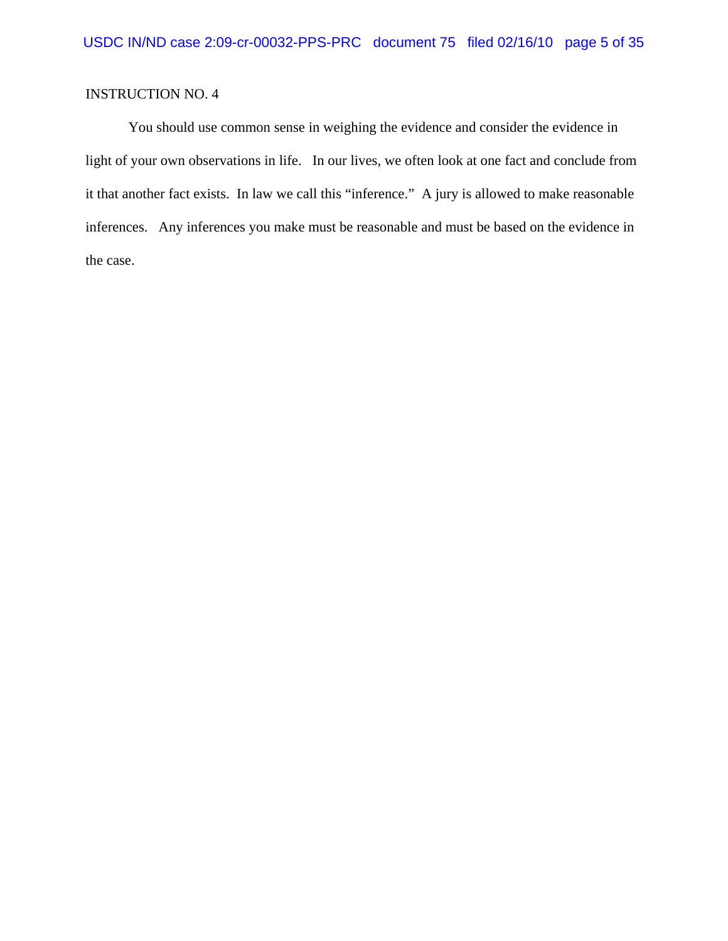You should use common sense in weighing the evidence and consider the evidence in light of your own observations in life. In our lives, we often look at one fact and conclude from it that another fact exists. In law we call this "inference." A jury is allowed to make reasonable inferences. Any inferences you make must be reasonable and must be based on the evidence in the case.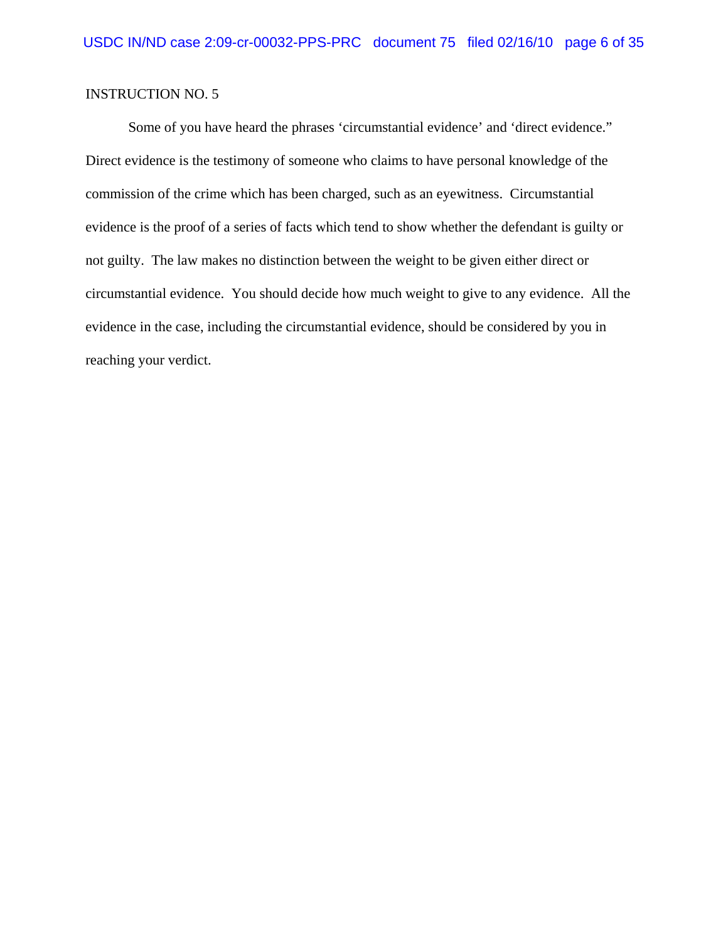Some of you have heard the phrases 'circumstantial evidence' and 'direct evidence." Direct evidence is the testimony of someone who claims to have personal knowledge of the commission of the crime which has been charged, such as an eyewitness. Circumstantial evidence is the proof of a series of facts which tend to show whether the defendant is guilty or not guilty. The law makes no distinction between the weight to be given either direct or circumstantial evidence. You should decide how much weight to give to any evidence. All the evidence in the case, including the circumstantial evidence, should be considered by you in reaching your verdict.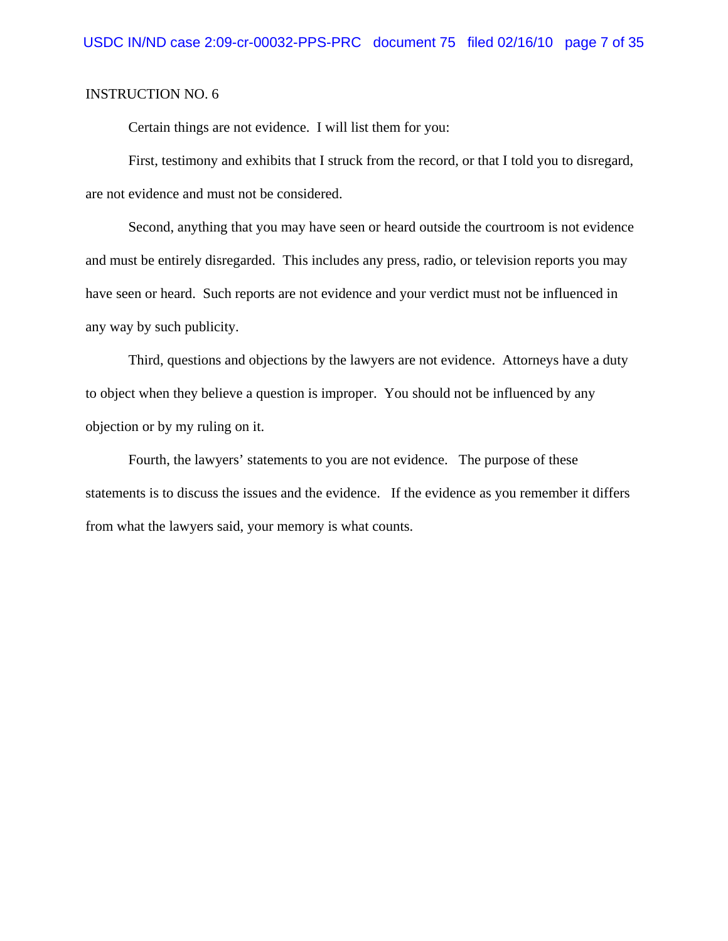Certain things are not evidence. I will list them for you:

First, testimony and exhibits that I struck from the record, or that I told you to disregard, are not evidence and must not be considered.

Second, anything that you may have seen or heard outside the courtroom is not evidence and must be entirely disregarded. This includes any press, radio, or television reports you may have seen or heard. Such reports are not evidence and your verdict must not be influenced in any way by such publicity.

Third, questions and objections by the lawyers are not evidence. Attorneys have a duty to object when they believe a question is improper. You should not be influenced by any objection or by my ruling on it.

Fourth, the lawyers' statements to you are not evidence. The purpose of these statements is to discuss the issues and the evidence. If the evidence as you remember it differs from what the lawyers said, your memory is what counts.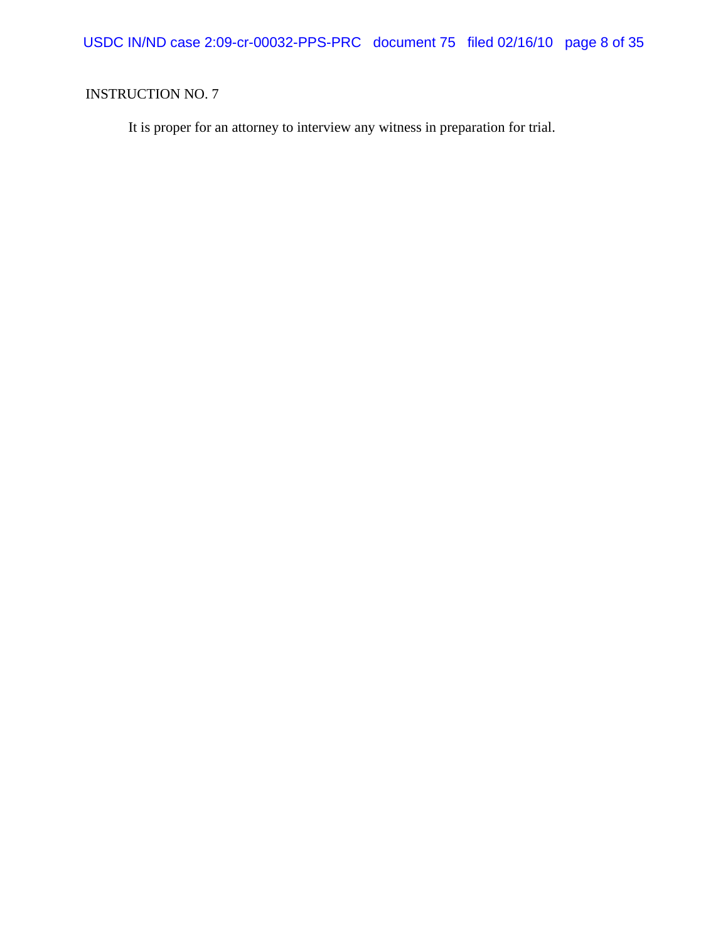USDC IN/ND case 2:09-cr-00032-PPS-PRC document 75 filed 02/16/10 page 8 of 35

# INSTRUCTION NO. 7

It is proper for an attorney to interview any witness in preparation for trial.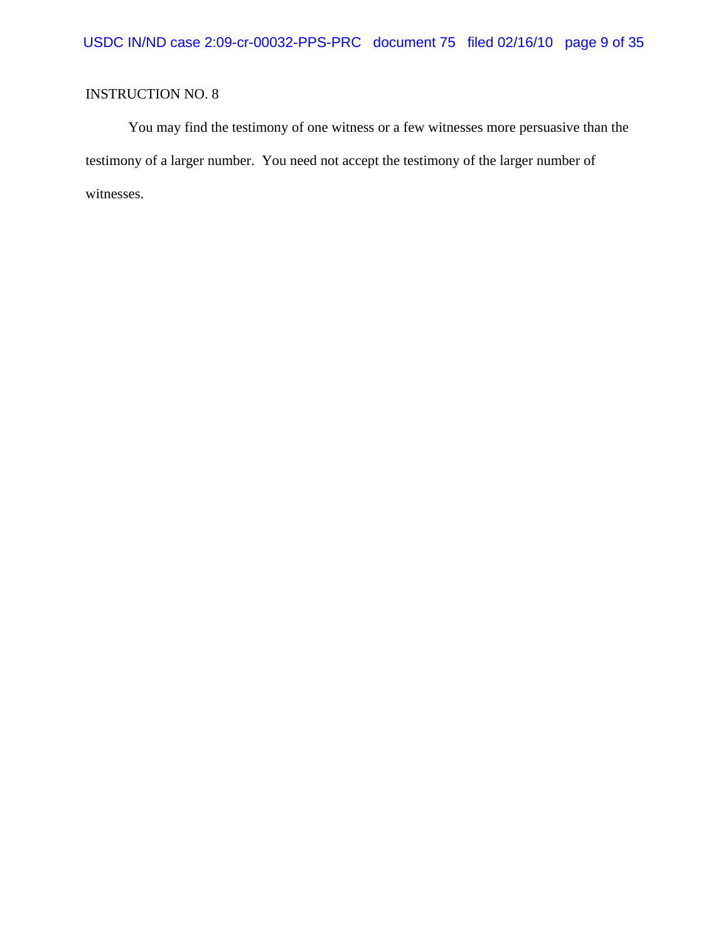You may find the testimony of one witness or a few witnesses more persuasive than the testimony of a larger number. You need not accept the testimony of the larger number of witnesses.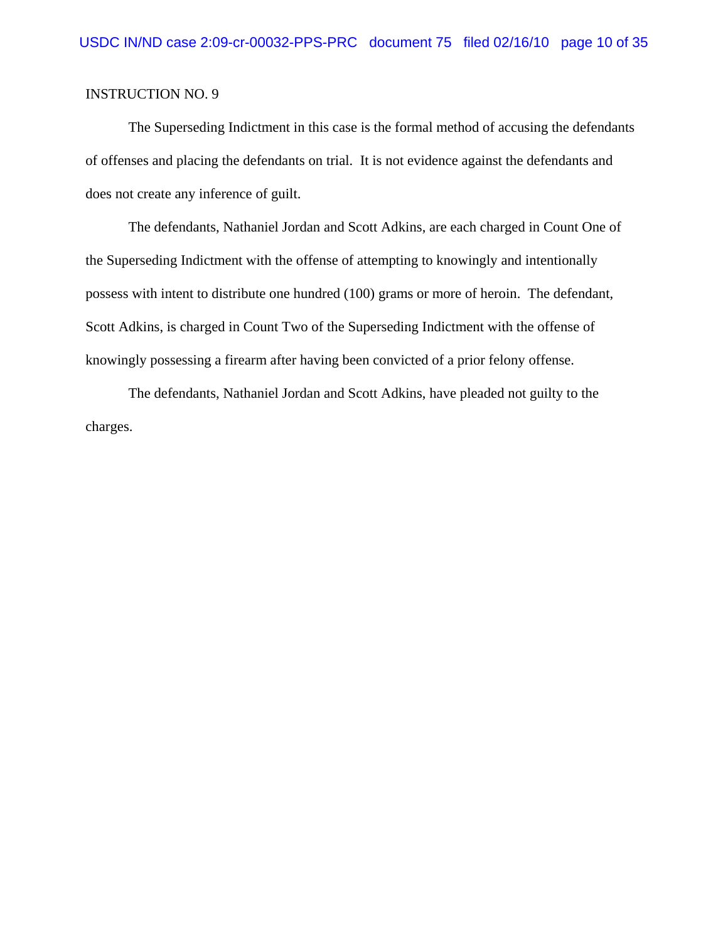The Superseding Indictment in this case is the formal method of accusing the defendants of offenses and placing the defendants on trial. It is not evidence against the defendants and does not create any inference of guilt.

The defendants, Nathaniel Jordan and Scott Adkins, are each charged in Count One of the Superseding Indictment with the offense of attempting to knowingly and intentionally possess with intent to distribute one hundred (100) grams or more of heroin. The defendant, Scott Adkins, is charged in Count Two of the Superseding Indictment with the offense of knowingly possessing a firearm after having been convicted of a prior felony offense.

The defendants, Nathaniel Jordan and Scott Adkins, have pleaded not guilty to the charges.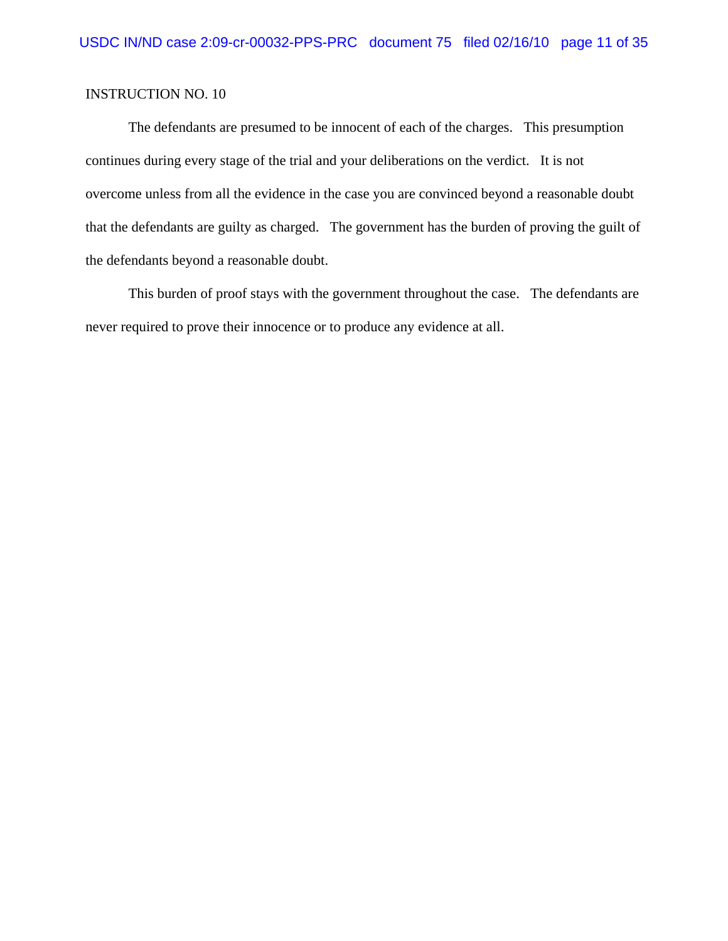The defendants are presumed to be innocent of each of the charges. This presumption continues during every stage of the trial and your deliberations on the verdict. It is not overcome unless from all the evidence in the case you are convinced beyond a reasonable doubt that the defendants are guilty as charged. The government has the burden of proving the guilt of the defendants beyond a reasonable doubt.

This burden of proof stays with the government throughout the case. The defendants are never required to prove their innocence or to produce any evidence at all.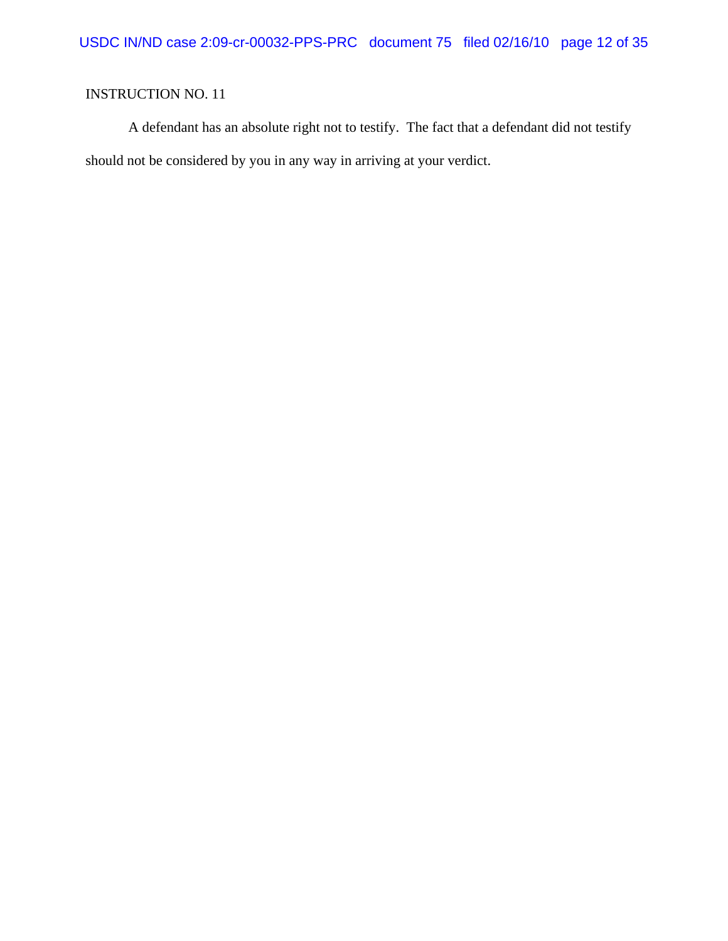A defendant has an absolute right not to testify. The fact that a defendant did not testify should not be considered by you in any way in arriving at your verdict.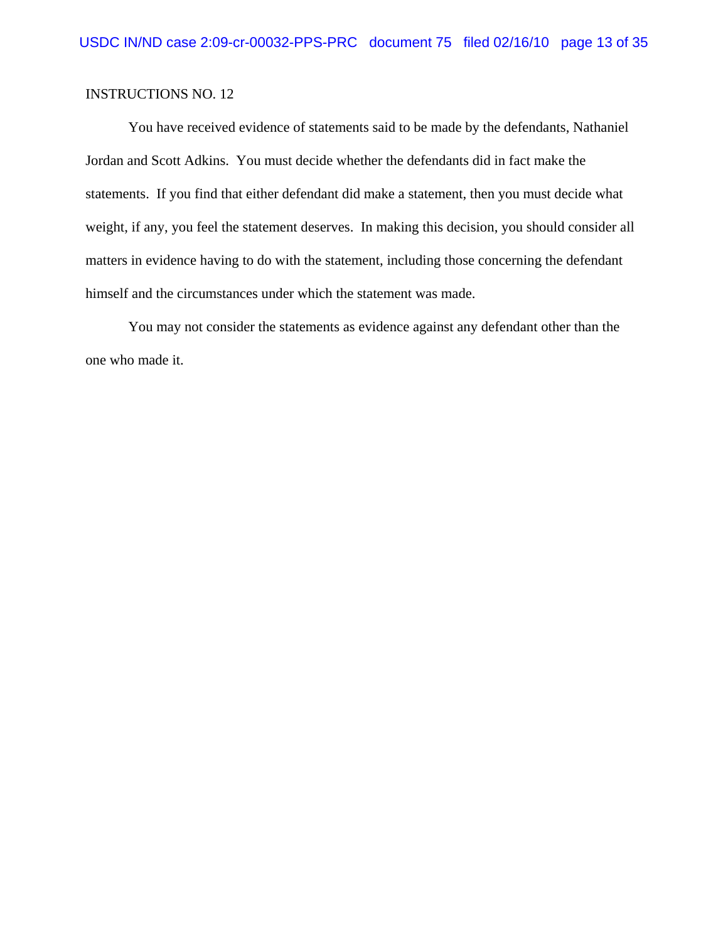You have received evidence of statements said to be made by the defendants, Nathaniel Jordan and Scott Adkins. You must decide whether the defendants did in fact make the statements. If you find that either defendant did make a statement, then you must decide what weight, if any, you feel the statement deserves. In making this decision, you should consider all matters in evidence having to do with the statement, including those concerning the defendant himself and the circumstances under which the statement was made.

You may not consider the statements as evidence against any defendant other than the one who made it.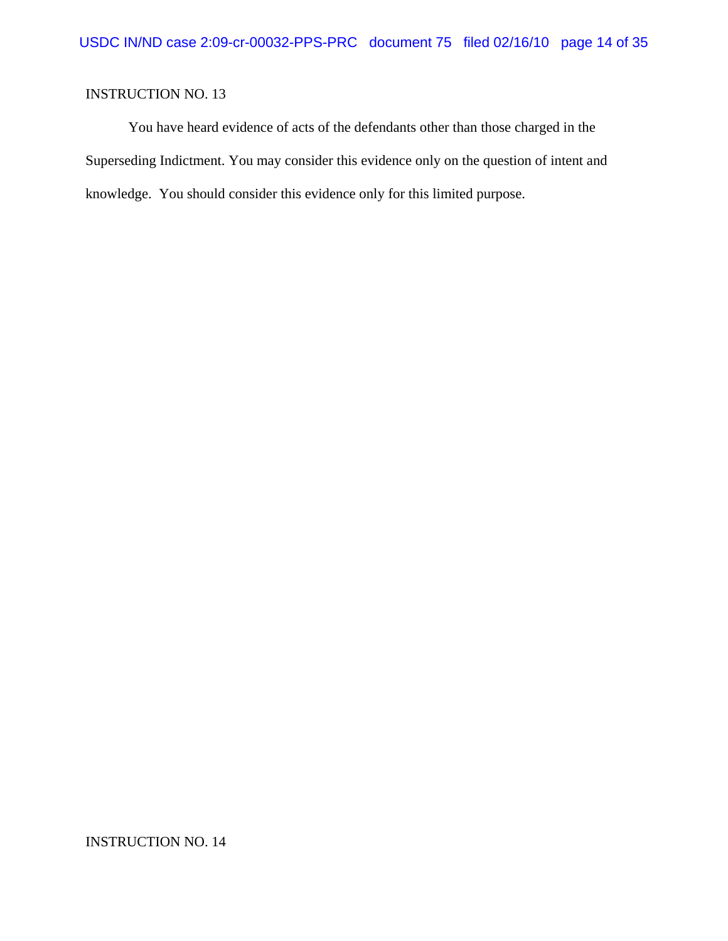You have heard evidence of acts of the defendants other than those charged in the Superseding Indictment. You may consider this evidence only on the question of intent and knowledge. You should consider this evidence only for this limited purpose.

INSTRUCTION NO. 14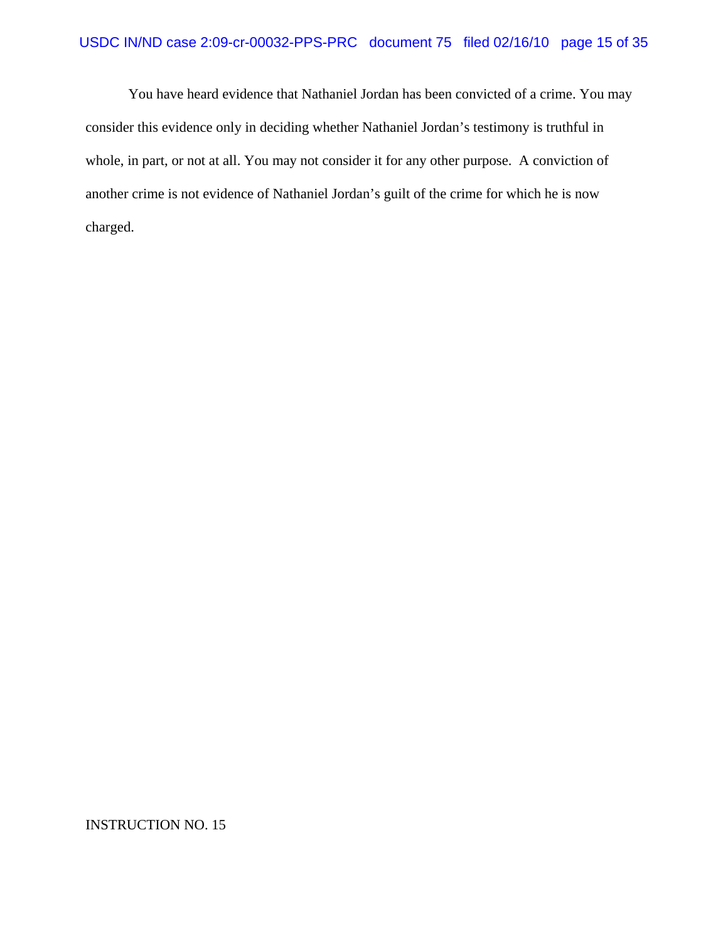You have heard evidence that Nathaniel Jordan has been convicted of a crime. You may consider this evidence only in deciding whether Nathaniel Jordan's testimony is truthful in whole, in part, or not at all. You may not consider it for any other purpose. A conviction of another crime is not evidence of Nathaniel Jordan's guilt of the crime for which he is now charged.

INSTRUCTION NO. 15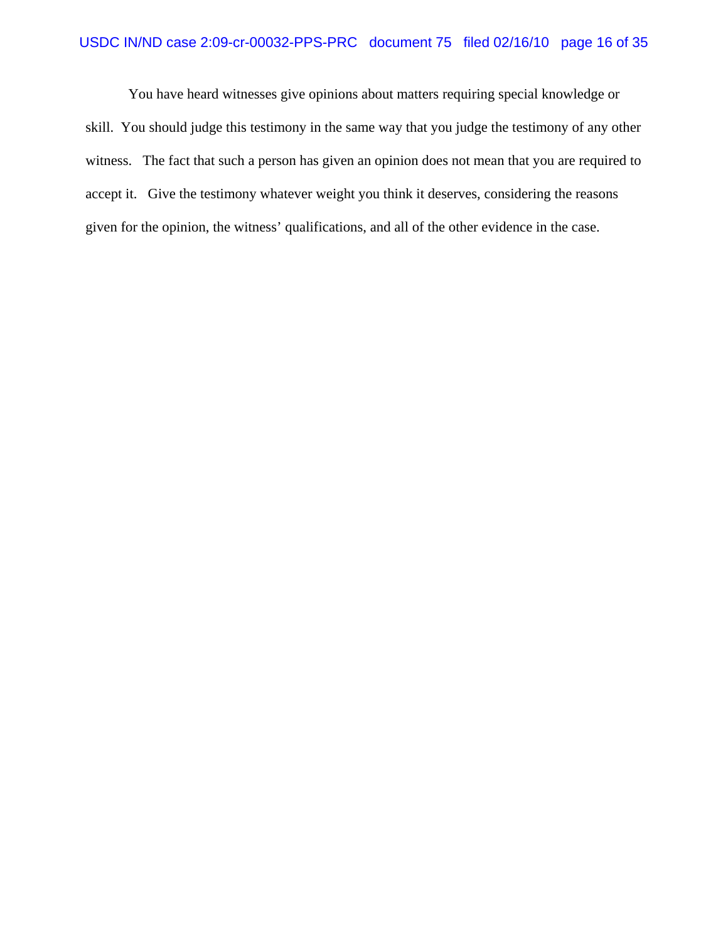#### USDC IN/ND case 2:09-cr-00032-PPS-PRC document 75 filed 02/16/10 page 16 of 35

You have heard witnesses give opinions about matters requiring special knowledge or skill. You should judge this testimony in the same way that you judge the testimony of any other witness. The fact that such a person has given an opinion does not mean that you are required to accept it. Give the testimony whatever weight you think it deserves, considering the reasons given for the opinion, the witness' qualifications, and all of the other evidence in the case.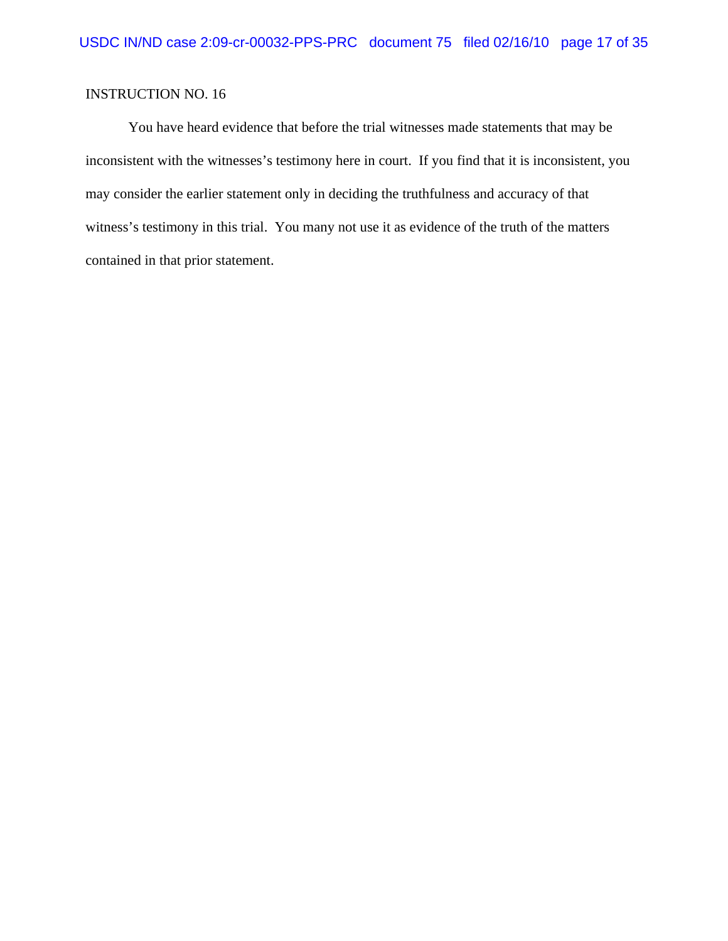You have heard evidence that before the trial witnesses made statements that may be inconsistent with the witnesses's testimony here in court. If you find that it is inconsistent, you may consider the earlier statement only in deciding the truthfulness and accuracy of that witness's testimony in this trial. You many not use it as evidence of the truth of the matters contained in that prior statement.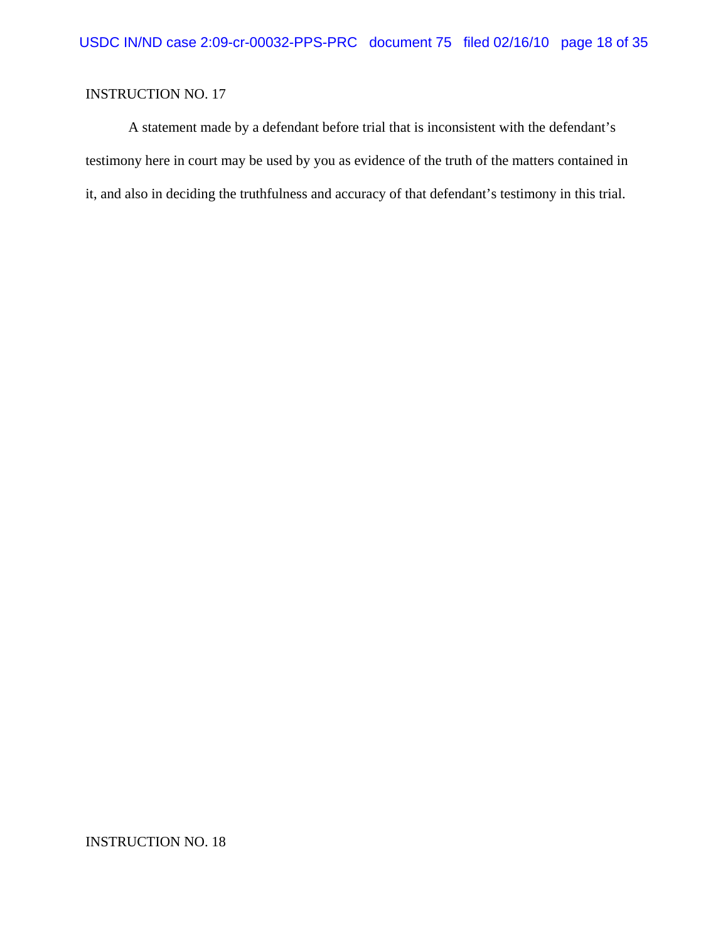A statement made by a defendant before trial that is inconsistent with the defendant's testimony here in court may be used by you as evidence of the truth of the matters contained in it, and also in deciding the truthfulness and accuracy of that defendant's testimony in this trial.

INSTRUCTION NO. 18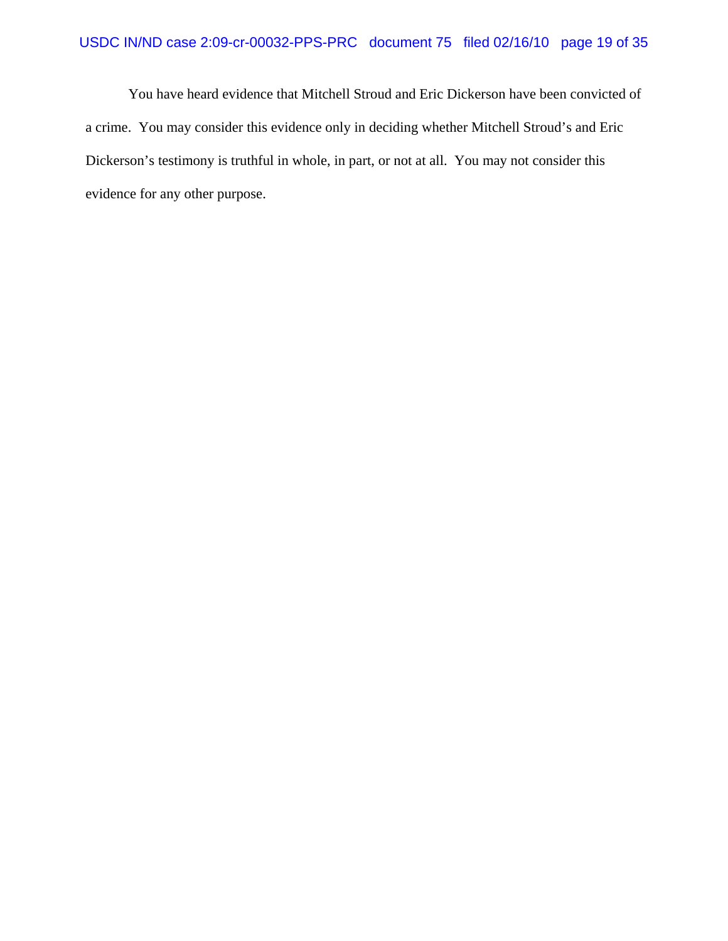### USDC IN/ND case 2:09-cr-00032-PPS-PRC document 75 filed 02/16/10 page 19 of 35

You have heard evidence that Mitchell Stroud and Eric Dickerson have been convicted of a crime. You may consider this evidence only in deciding whether Mitchell Stroud's and Eric Dickerson's testimony is truthful in whole, in part, or not at all. You may not consider this evidence for any other purpose.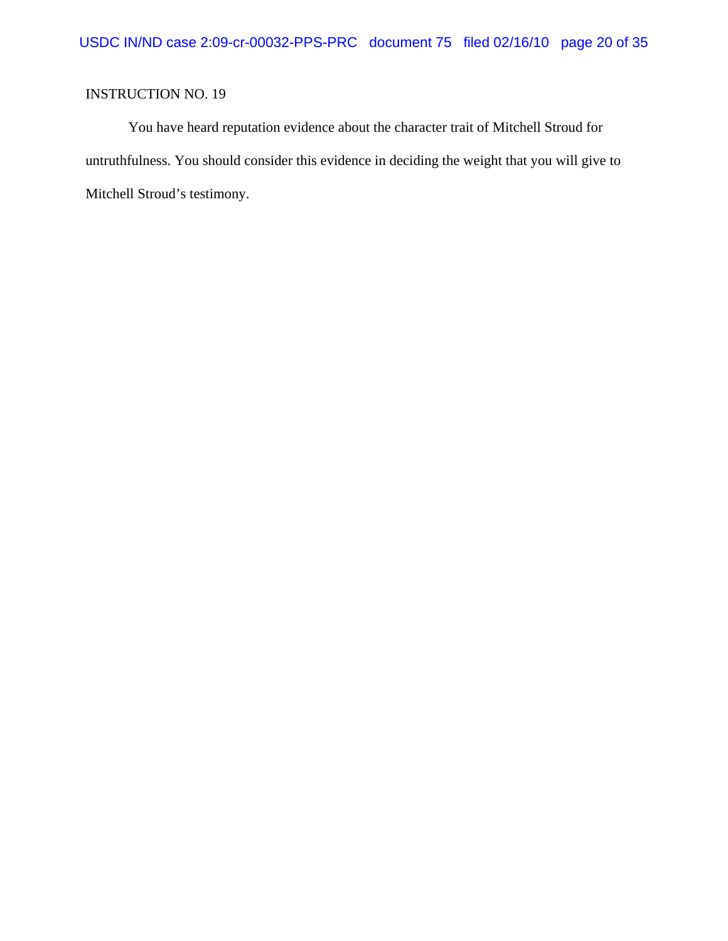You have heard reputation evidence about the character trait of Mitchell Stroud for untruthfulness. You should consider this evidence in deciding the weight that you will give to Mitchell Stroud's testimony.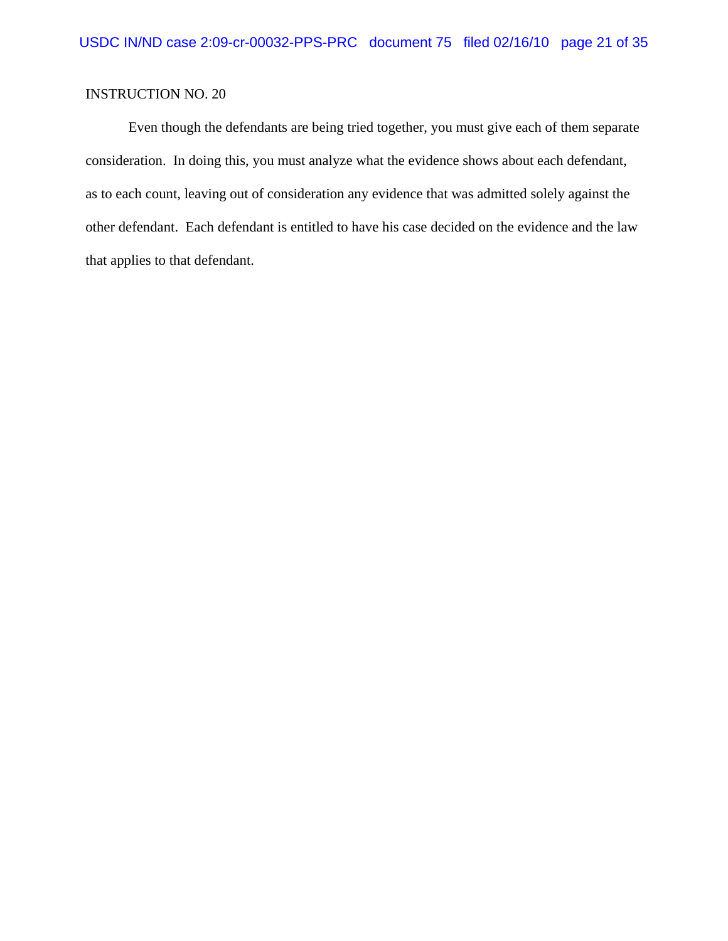Even though the defendants are being tried together, you must give each of them separate consideration. In doing this, you must analyze what the evidence shows about each defendant, as to each count, leaving out of consideration any evidence that was admitted solely against the other defendant. Each defendant is entitled to have his case decided on the evidence and the law that applies to that defendant.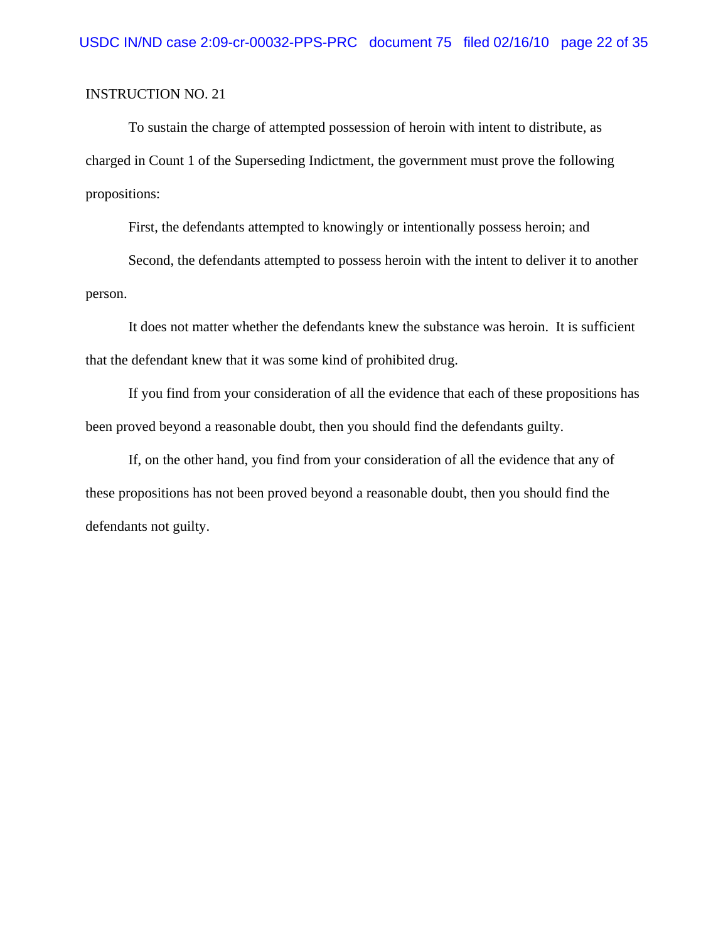To sustain the charge of attempted possession of heroin with intent to distribute, as charged in Count 1 of the Superseding Indictment, the government must prove the following propositions:

First, the defendants attempted to knowingly or intentionally possess heroin; and

Second, the defendants attempted to possess heroin with the intent to deliver it to another person.

It does not matter whether the defendants knew the substance was heroin. It is sufficient that the defendant knew that it was some kind of prohibited drug.

If you find from your consideration of all the evidence that each of these propositions has been proved beyond a reasonable doubt, then you should find the defendants guilty.

If, on the other hand, you find from your consideration of all the evidence that any of these propositions has not been proved beyond a reasonable doubt, then you should find the defendants not guilty.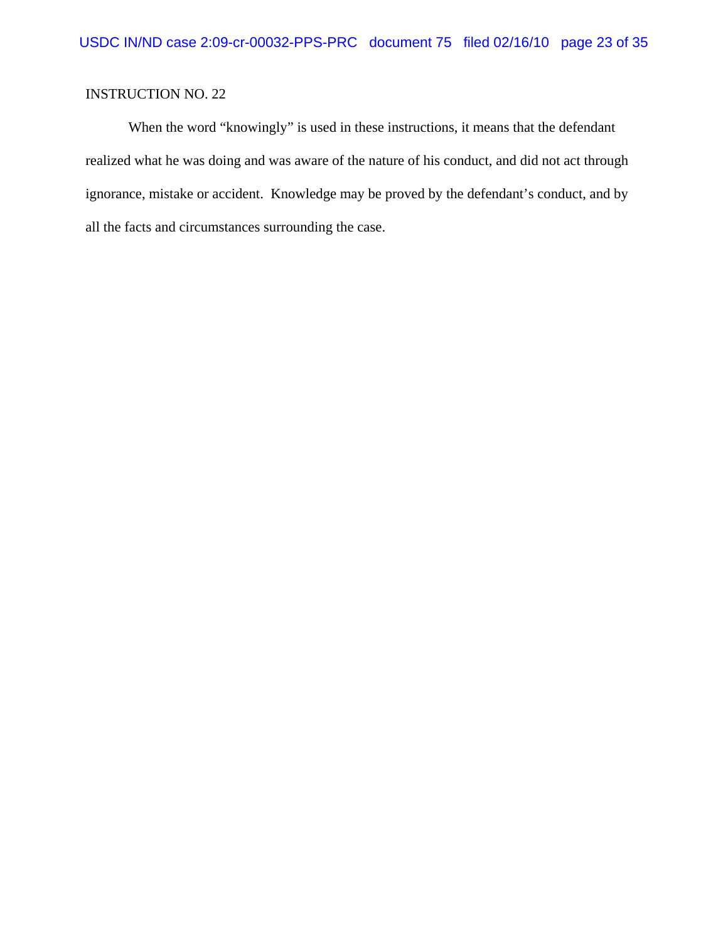When the word "knowingly" is used in these instructions, it means that the defendant realized what he was doing and was aware of the nature of his conduct, and did not act through ignorance, mistake or accident. Knowledge may be proved by the defendant's conduct, and by all the facts and circumstances surrounding the case.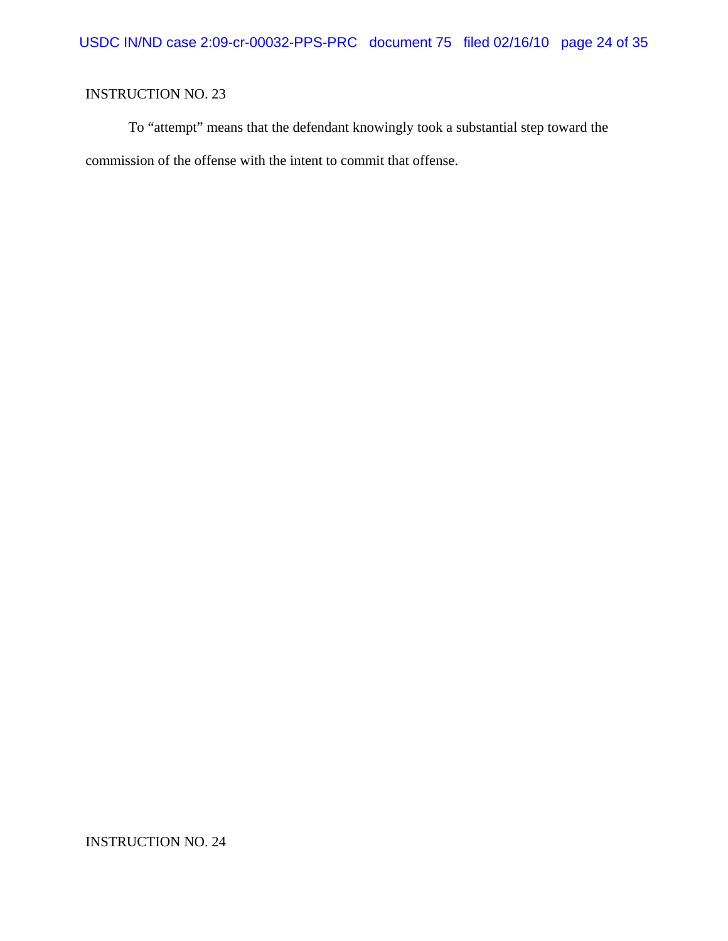To "attempt" means that the defendant knowingly took a substantial step toward the commission of the offense with the intent to commit that offense.

INSTRUCTION NO. 24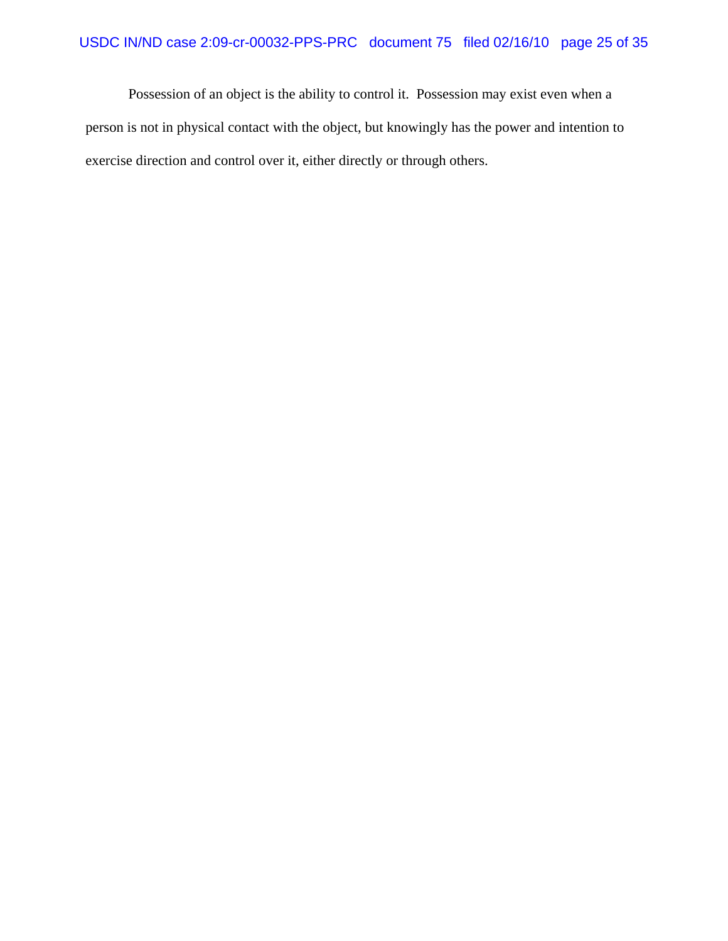Possession of an object is the ability to control it. Possession may exist even when a person is not in physical contact with the object, but knowingly has the power and intention to exercise direction and control over it, either directly or through others.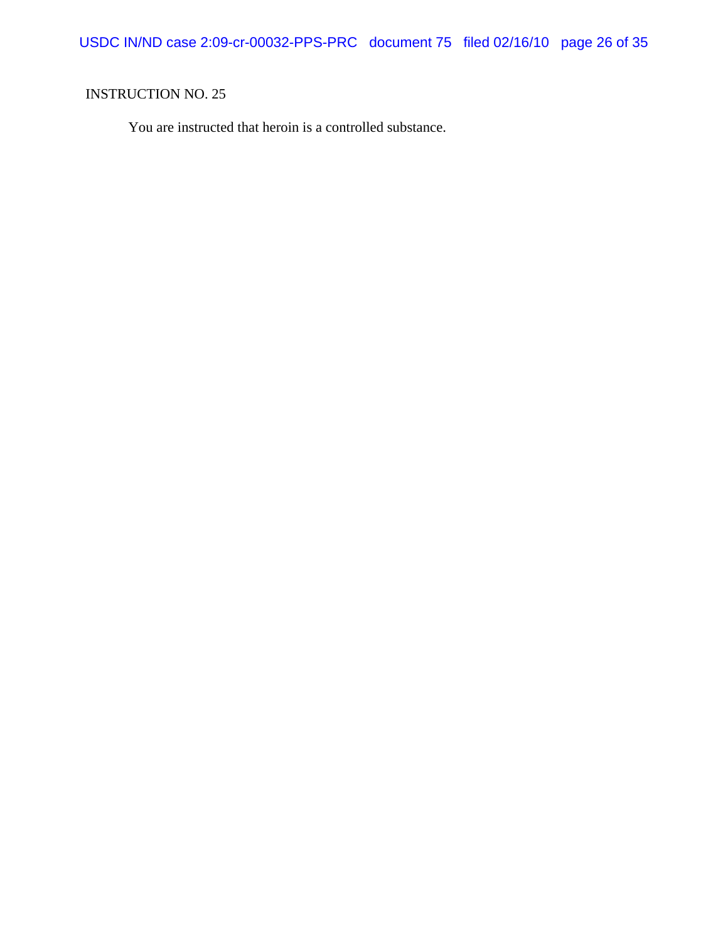USDC IN/ND case 2:09-cr-00032-PPS-PRC document 75 filed 02/16/10 page 26 of 35

# INSTRUCTION NO. 25

You are instructed that heroin is a controlled substance.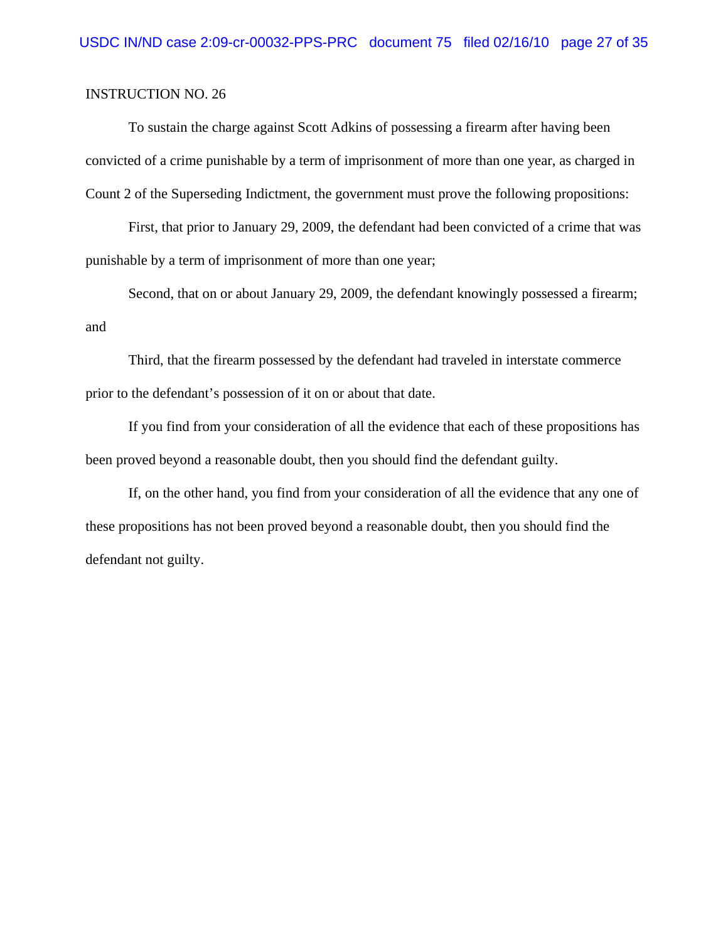To sustain the charge against Scott Adkins of possessing a firearm after having been convicted of a crime punishable by a term of imprisonment of more than one year, as charged in Count 2 of the Superseding Indictment, the government must prove the following propositions:

First, that prior to January 29, 2009, the defendant had been convicted of a crime that was punishable by a term of imprisonment of more than one year;

Second, that on or about January 29, 2009, the defendant knowingly possessed a firearm; and

Third, that the firearm possessed by the defendant had traveled in interstate commerce prior to the defendant's possession of it on or about that date.

If you find from your consideration of all the evidence that each of these propositions has been proved beyond a reasonable doubt, then you should find the defendant guilty.

If, on the other hand, you find from your consideration of all the evidence that any one of these propositions has not been proved beyond a reasonable doubt, then you should find the defendant not guilty.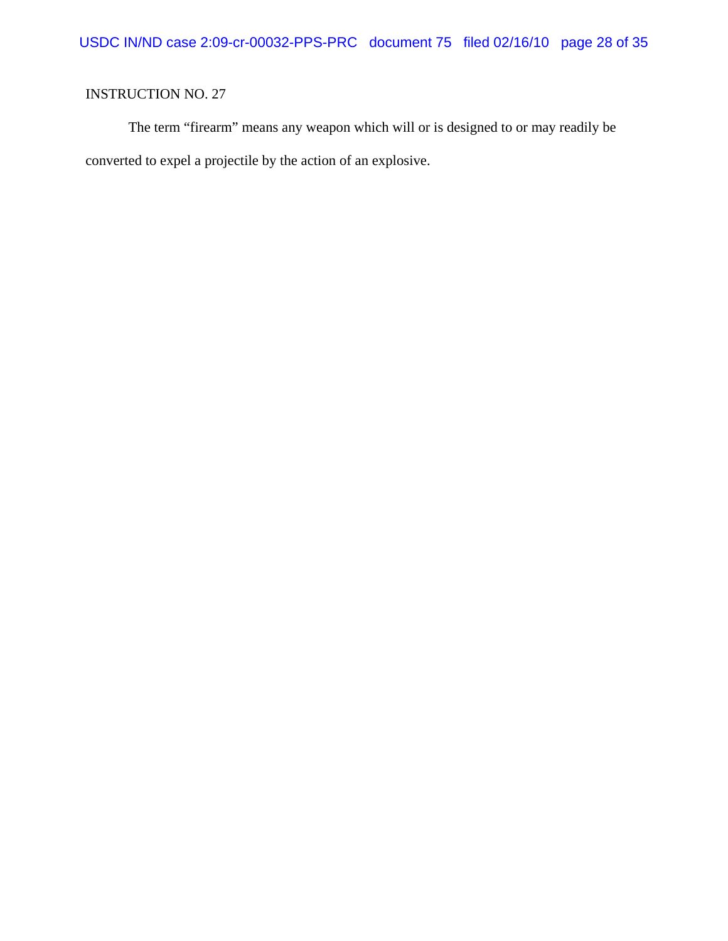The term "firearm" means any weapon which will or is designed to or may readily be converted to expel a projectile by the action of an explosive.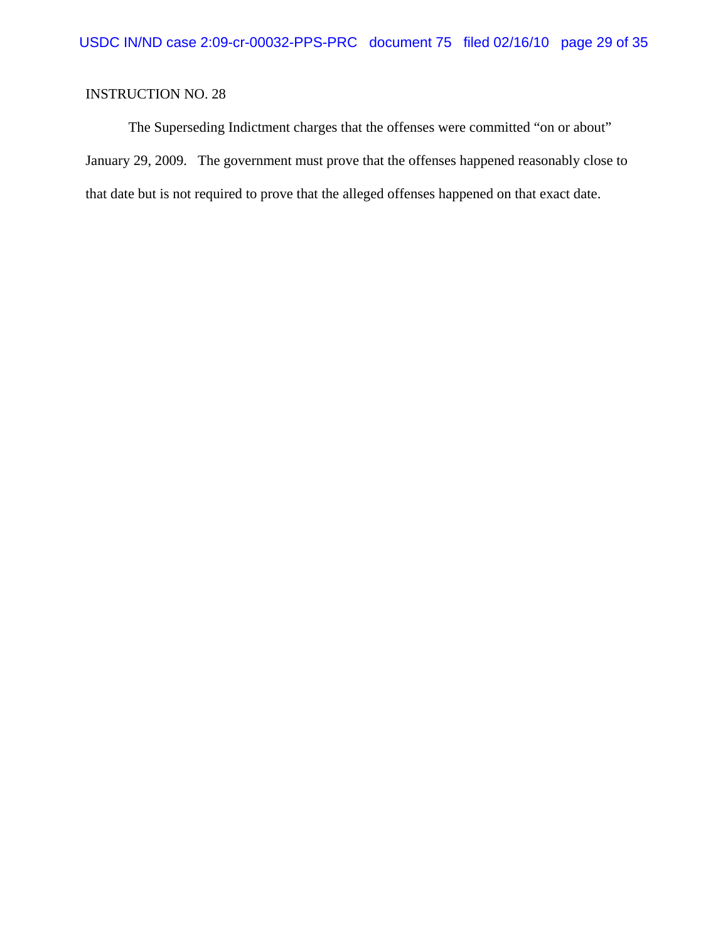The Superseding Indictment charges that the offenses were committed "on or about" January 29, 2009. The government must prove that the offenses happened reasonably close to that date but is not required to prove that the alleged offenses happened on that exact date.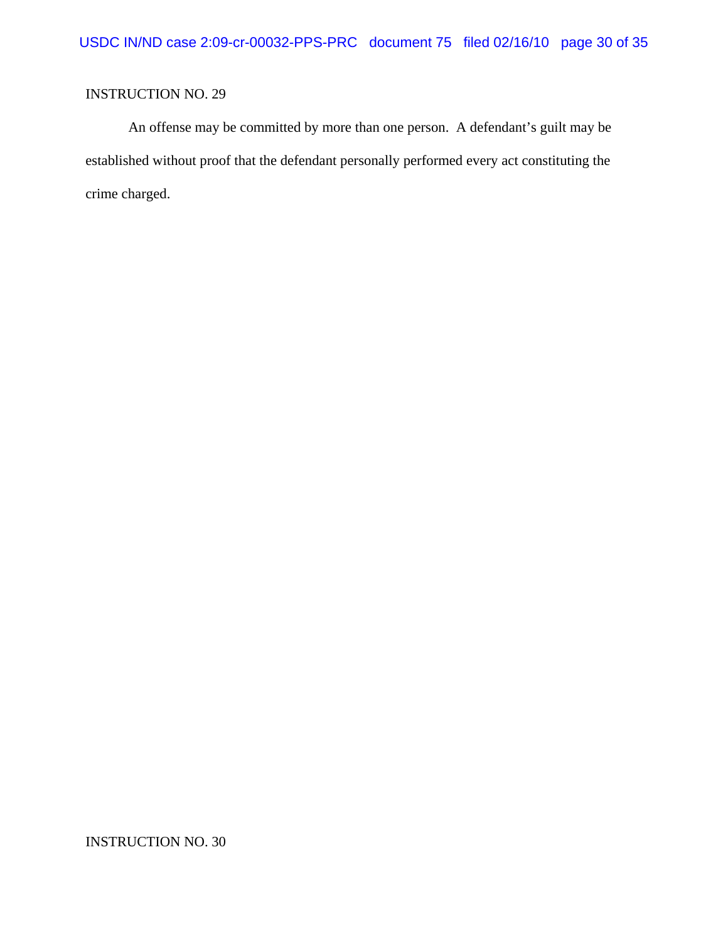An offense may be committed by more than one person. A defendant's guilt may be established without proof that the defendant personally performed every act constituting the crime charged.

INSTRUCTION NO. 30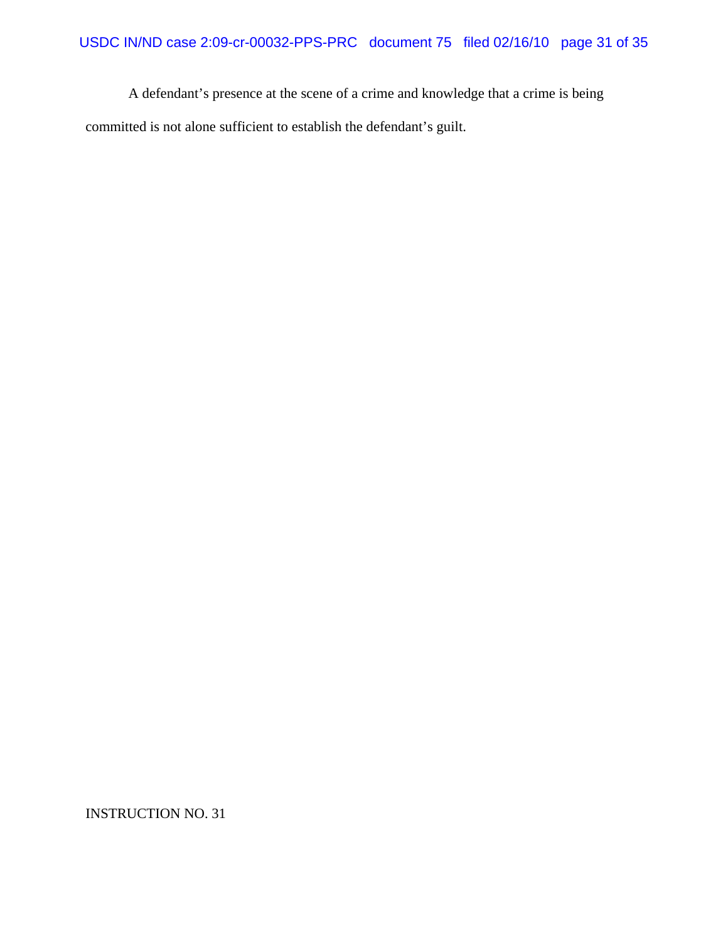A defendant's presence at the scene of a crime and knowledge that a crime is being committed is not alone sufficient to establish the defendant's guilt.

INSTRUCTION NO. 31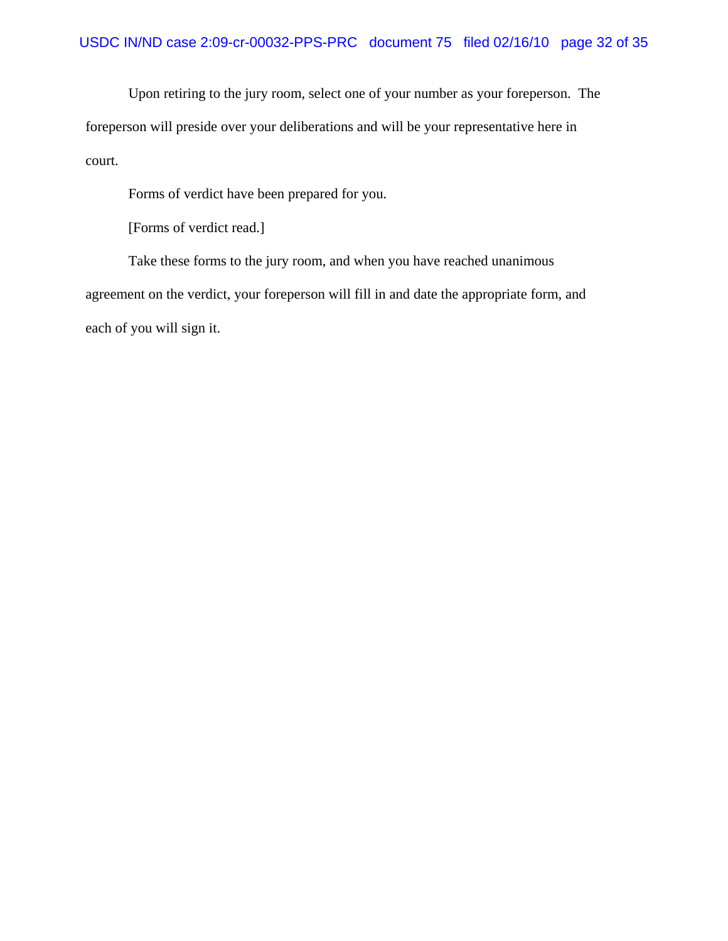Upon retiring to the jury room, select one of your number as your foreperson. The foreperson will preside over your deliberations and will be your representative here in court.

Forms of verdict have been prepared for you.

[Forms of verdict read.]

 Take these forms to the jury room, and when you have reached unanimous agreement on the verdict, your foreperson will fill in and date the appropriate form, and each of you will sign it.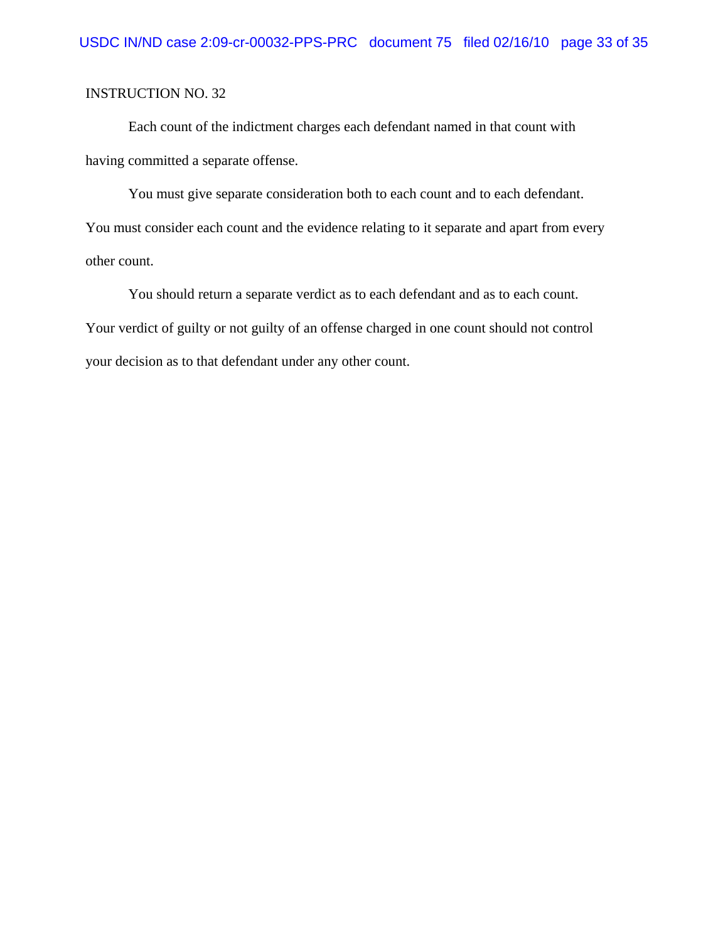Each count of the indictment charges each defendant named in that count with having committed a separate offense.

You must give separate consideration both to each count and to each defendant. You must consider each count and the evidence relating to it separate and apart from every other count.

You should return a separate verdict as to each defendant and as to each count. Your verdict of guilty or not guilty of an offense charged in one count should not control your decision as to that defendant under any other count.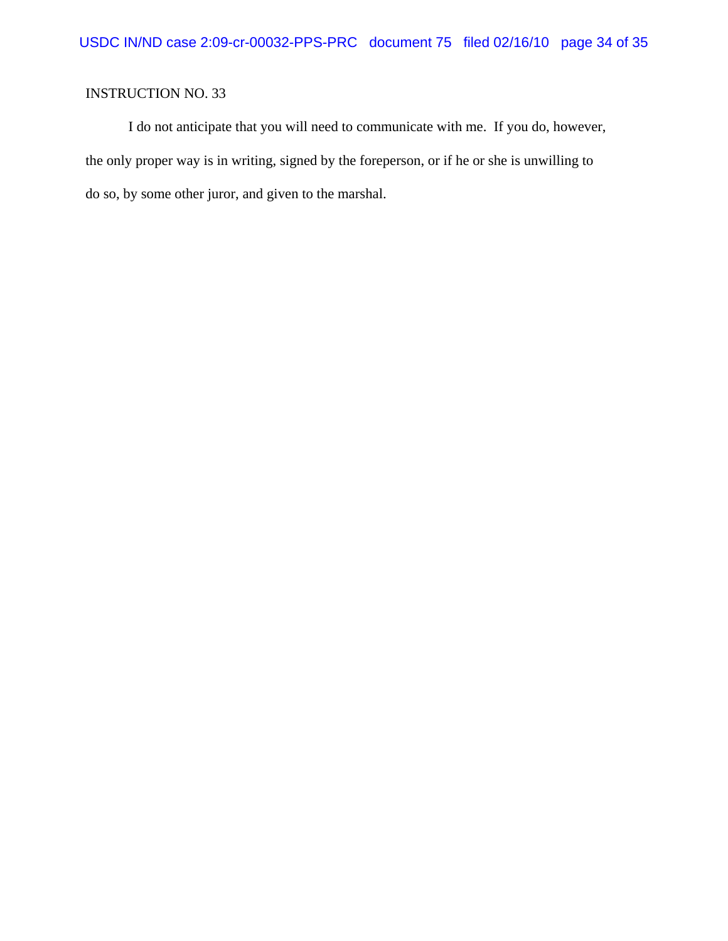I do not anticipate that you will need to communicate with me. If you do, however, the only proper way is in writing, signed by the foreperson, or if he or she is unwilling to do so, by some other juror, and given to the marshal.